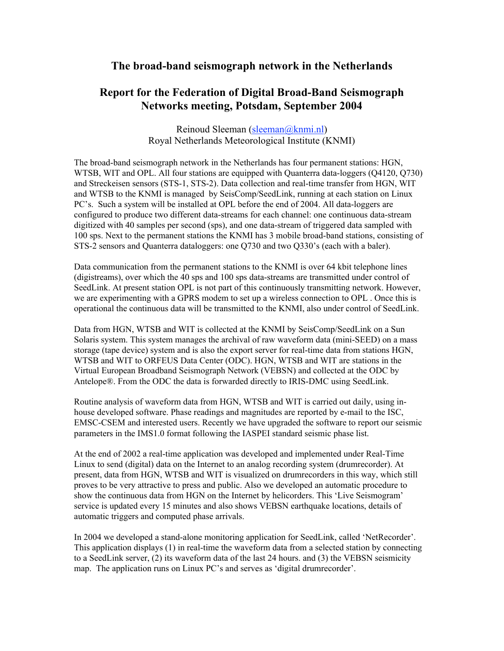## **The broad-band seismograph network in the Netherlands**

## **Report for the Federation of Digital Broad-Band Seismograph Networks meeting, Potsdam, September 2004**

Reinoud Sleeman (sleeman@knmi.nl) Royal Netherlands Meteorological Institute (KNMI)

The broad-band seismograph network in the Netherlands has four permanent stations: HGN, WTSB, WIT and OPL. All four stations are equipped with Quanterra data-loggers (Q4120, Q730) and Streckeisen sensors (STS-1, STS-2). Data collection and real-time transfer from HGN, WIT and WTSB to the KNMI is managed by SeisComp/SeedLink, running at each station on Linux PC's. Such a system will be installed at OPL before the end of 2004. All data-loggers are configured to produce two different data-streams for each channel: one continuous data-stream digitized with 40 samples per second (sps), and one data-stream of triggered data sampled with 100 sps. Next to the permanent stations the KNMI has 3 mobile broad-band stations, consisting of STS-2 sensors and Quanterra dataloggers: one Q730 and two Q330's (each with a baler).

Data communication from the permanent stations to the KNMI is over 64 kbit telephone lines (digistreams), over which the 40 sps and 100 sps data-streams are transmitted under control of SeedLink. At present station OPL is not part of this continuously transmitting network. However, we are experimenting with a GPRS modem to set up a wireless connection to OPL . Once this is operational the continuous data will be transmitted to the KNMI, also under control of SeedLink.

Data from HGN, WTSB and WIT is collected at the KNMI by SeisComp/SeedLink on a Sun Solaris system. This system manages the archival of raw waveform data (mini-SEED) on a mass storage (tape device) system and is also the export server for real-time data from stations HGN, WTSB and WIT to ORFEUS Data Center (ODC). HGN, WTSB and WIT are stations in the Virtual European Broadband Seismograph Network (VEBSN) and collected at the ODC by Antelope®. From the ODC the data is forwarded directly to IRIS-DMC using SeedLink.

Routine analysis of waveform data from HGN, WTSB and WIT is carried out daily, using inhouse developed software. Phase readings and magnitudes are reported by e-mail to the ISC, EMSC-CSEM and interested users. Recently we have upgraded the software to report our seismic parameters in the IMS1.0 format following the IASPEI standard seismic phase list.

At the end of 2002 a real-time application was developed and implemented under Real-Time Linux to send (digital) data on the Internet to an analog recording system (drumrecorder). At present, data from HGN, WTSB and WIT is visualized on drumrecorders in this way, which still proves to be very attractive to press and public. Also we developed an automatic procedure to show the continuous data from HGN on the Internet by helicorders. This 'Live Seismogram' service is updated every 15 minutes and also shows VEBSN earthquake locations, details of automatic triggers and computed phase arrivals.

In 2004 we developed a stand-alone monitoring application for SeedLink, called 'NetRecorder'. This application displays (1) in real-time the waveform data from a selected station by connecting to a SeedLink server, (2) its waveform data of the last 24 hours. and (3) the VEBSN seismicity map. The application runs on Linux PC's and serves as 'digital drumrecorder'.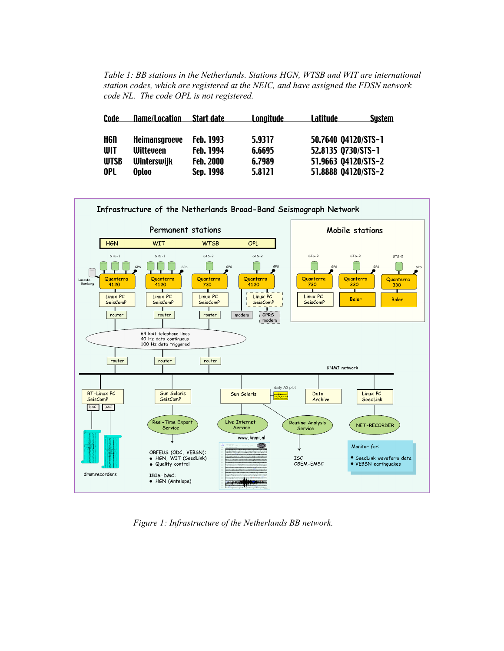*Table 1: BB stations in the Netherlands. Stations HGN, WTSB and WIT are international station codes, which are registered at the NEIC, and have assigned the FDSN network code NL. The code OPL is not registered.*

| <b>Code</b> | <b>Name/Location</b> | Start date       | <u>Lonaitude</u> | Latitude            | <b>System</b> |
|-------------|----------------------|------------------|------------------|---------------------|---------------|
|             |                      |                  |                  |                     |               |
| HGN         | <b>Heimansgroeve</b> | <b>Feb. 1993</b> | 5.9317           | 50.7640 04120/STS-1 |               |
| WIT         | <b>Witteveen</b>     | <b>Feb. 1994</b> | 6.6695           | 52.8135 0730/STS-1  |               |
| <b>WTSB</b> | <b>Winterswijk</b>   | <b>Feb. 2000</b> | 6.7989           | 51.9663 04120/STS-2 |               |
| 0PL         | <b>Oploo</b>         | Sep. 1998        | 5.8121           | 51.8888 04120/STS-2 |               |



*Figure 1: Infrastructure of the Netherlands BB network.*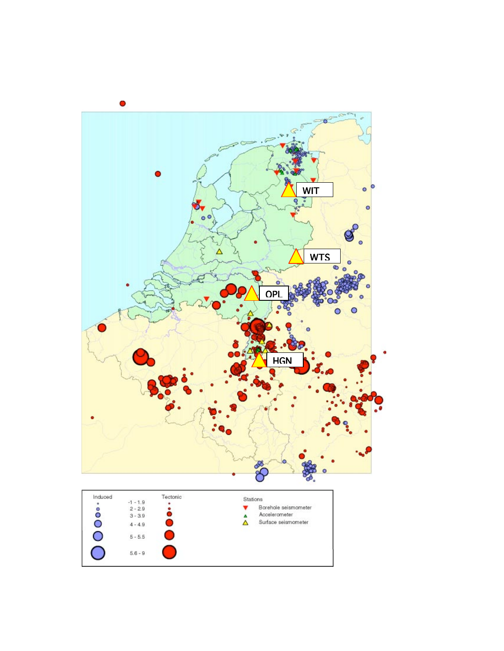